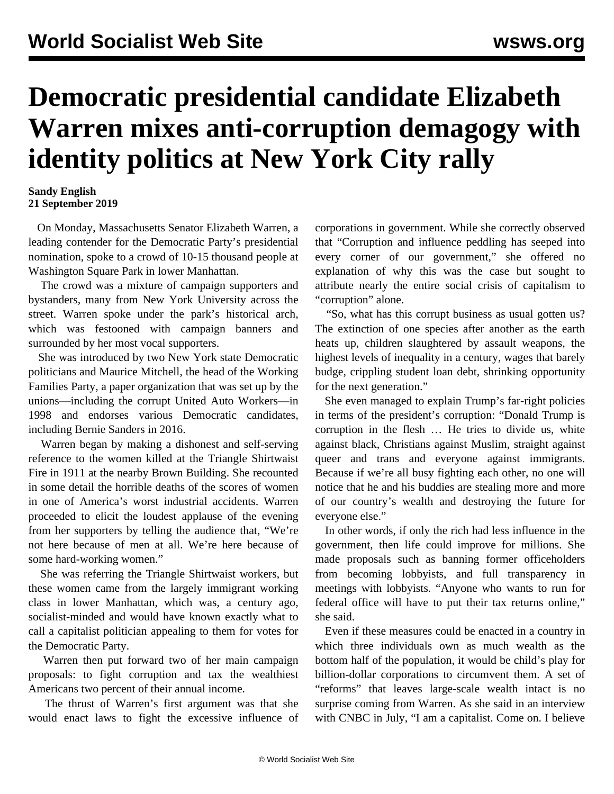## **Democratic presidential candidate Elizabeth Warren mixes anti-corruption demagogy with identity politics at New York City rally**

## **Sandy English 21 September 2019**

 On Monday, Massachusetts Senator Elizabeth Warren, a leading contender for the Democratic Party's presidential nomination, spoke to a crowd of 10-15 thousand people at Washington Square Park in lower Manhattan.

 The crowd was a mixture of campaign supporters and bystanders, many from New York University across the street. Warren spoke under the park's historical arch, which was festooned with campaign banners and surrounded by her most vocal supporters.

 She was introduced by two New York state Democratic politicians and Maurice Mitchell, the head of the Working Families Party, a paper organization that was set up by the unions—including the corrupt United Auto Workers—in 1998 and endorses various Democratic candidates, including Bernie Sanders in 2016.

 Warren began by making a dishonest and self-serving reference to the women killed at the Triangle Shirtwaist Fire in 1911 at the nearby Brown Building. She recounted in some detail the horrible deaths of the scores of women in one of America's worst industrial accidents. Warren proceeded to elicit the loudest applause of the evening from her supporters by telling the audience that, "We're not here because of men at all. We're here because of some hard-working women."

 She was referring the Triangle Shirtwaist workers, but these women came from the largely immigrant working class in lower Manhattan, which was, a century ago, socialist-minded and would have known exactly what to call a capitalist politician appealing to them for votes for the Democratic Party.

 Warren then put forward two of her main campaign proposals: to fight corruption and tax the wealthiest Americans two percent of their annual income.

 The thrust of Warren's first argument was that she would enact laws to fight the excessive influence of corporations in government. While she correctly observed that "Corruption and influence peddling has seeped into every corner of our government," she offered no explanation of why this was the case but sought to attribute nearly the entire social crisis of capitalism to "corruption" alone.

 "So, what has this corrupt business as usual gotten us? The extinction of one species after another as the earth heats up, children slaughtered by assault weapons, the highest levels of inequality in a century, wages that barely budge, crippling student loan debt, shrinking opportunity for the next generation."

 She even managed to explain Trump's far-right policies in terms of the president's corruption: "Donald Trump is corruption in the flesh … He tries to divide us, white against black, Christians against Muslim, straight against queer and trans and everyone against immigrants. Because if we're all busy fighting each other, no one will notice that he and his buddies are stealing more and more of our country's wealth and destroying the future for everyone else."

 In other words, if only the rich had less influence in the government, then life could improve for millions. She made proposals such as banning former officeholders from becoming lobbyists, and full transparency in meetings with lobbyists. "Anyone who wants to run for federal office will have to put their tax returns online," she said.

 Even if these measures could be enacted in a country in which three individuals own as much wealth as the bottom half of the population, it would be child's play for billion-dollar corporations to circumvent them. A set of "reforms" that leaves large-scale wealth intact is no surprise coming from Warren. As she said in an interview with CNBC in July, "I am a capitalist. Come on. I believe